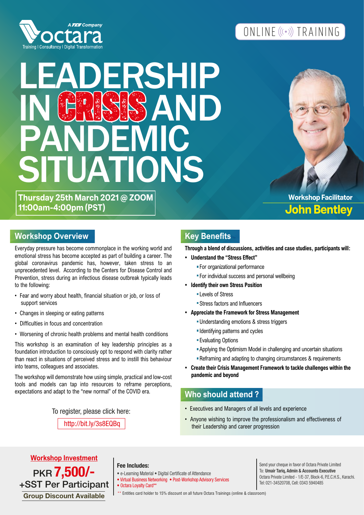

## ONLINE ((.)) TRAINING

# DERSHIP<br>NGC AND IN C�I�I� AND **PANDEMIC** SITUATIONS

**Thursday 25th March 2021 @ ZOOM 11:00am-4:00pm (PST)**

**John Bentley Workshop Facilitator**

#### **Workshop Overview Manual Accord Accord Key Benefits**

Everyday pressure has become commonplace in the working world and emotional stress has become accepted as part of building a career. The global coronavirus pandemic has, however, taken stress to an unprecedented level. According to the Centers for Disease Control and Prevention, stress during an infectious disease outbreak typically leads to the following:

- Fear and worry about health, financial situation or job, or loss of support services
- Changes in sleeping or eating patterns
- Difficulties in focus and concentration
- Worsening of chronic health problems and mental health conditions

This workshop is an examination of key leadership principles as a foundation introduction to consciously opt to respond with clarity rather than react in situations of perceived stress and to instill this behaviour into teams, colleagues and associates.

The workshop will demonstrate how using simple, practical and low-cost tools and models can tap into resources to reframe perceptions, expectations and adapt to the "new normal" of the COVID era.

To register, please click here:

http://bit.ly/3s8EQBq

**Through a blend of discussions, activities and case studies, participants will:** 

- **Understand the "Stress Effect"**
	- For organizational performance
	- For individual success and personal wellbeing
- **Identify their own Stress Position** 
	- Levels of Stress
	- Stress factors and Influencers
- **Appreciate the Framework for Stress Management** 
	- Understanding emotions & stress triggers
	- **Identifying patterns and cycles**
	- **Evaluating Options**
	- Applying the Optimism Model in challenging and uncertain situations
	- **Reframing and adapting to changing circumstances & requirements**
- **Create their Crisis Management Framework to tackle challenges within the pandemic and beyond**

#### **Who should attend ?**

- Executives and Managers of all levels and experience
- Anyone wishing to improve the professionalism and effectiveness of their Leadership and career progression

PKR 7,500/-+SST Per Participant **Workshop Investment**

#### **Fee Includes:**

- e-Learning Material Digital Certificate of Attendance
- Virtual Business Networking Post-Workshop Advisory Services • Octara Loyalty Card\*\*

Send your cheque in favor of Octara Private Limited To: Umair Tariq, Admin & Accounts Executive Octara Private Limited - 1/E-37, Block-6, P.E.C.H.S., Karachi. Tel: 021-34520708, Cell: 0343 5940485

Group Discount Available | \*\* Entitles card holder to 15% discount on all future Octara Trainings (online & classroom)